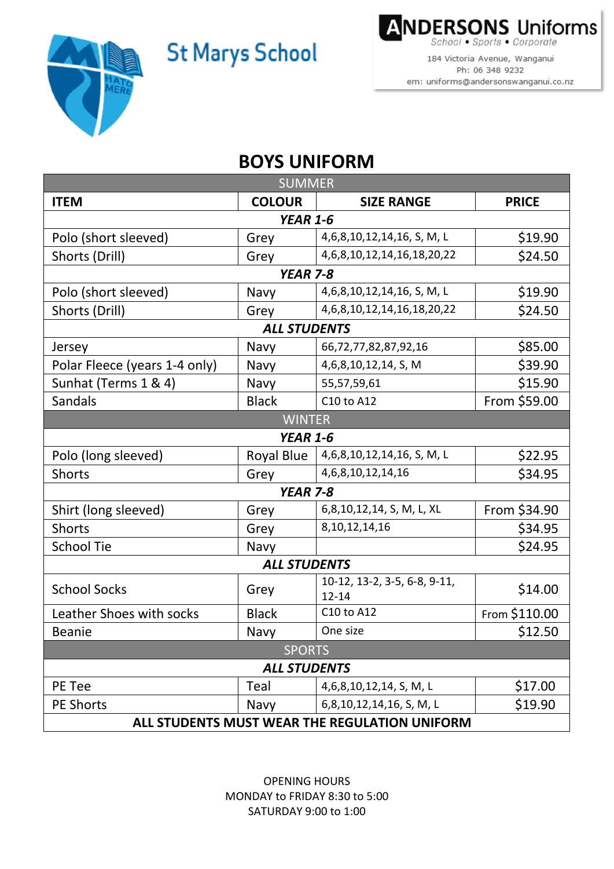**St Marys School** 



**ANDERSONS Uniforms** hool . Sports . Corporate

184 Victoria Avenue, Wanganui Ph: 06 348 9232 em: uniforms@andersonswanganui.co.nz

## **BOYS UNIFORM**

| <b>SUMMER</b>                                 |                 |                                           |               |  |
|-----------------------------------------------|-----------------|-------------------------------------------|---------------|--|
| <b>ITEM</b>                                   | <b>COLOUR</b>   | <b>SIZE RANGE</b>                         | <b>PRICE</b>  |  |
| <b>YEAR 1-6</b>                               |                 |                                           |               |  |
| Polo (short sleeved)                          | Grey            | 4,6,8,10,12,14,16, S, M, L                | \$19.90       |  |
| Shorts (Drill)                                | Grey            | 4, 6, 8, 10, 12, 14, 16, 18, 20, 22       | \$24.50       |  |
| <b>YEAR 7-8</b>                               |                 |                                           |               |  |
| Polo (short sleeved)                          | Navy            | 4,6,8,10,12,14,16, S, M, L                | \$19.90       |  |
| Shorts (Drill)                                | Grey            | 4, 6, 8, 10, 12, 14, 16, 18, 20, 22       | \$24.50       |  |
| <b>ALL STUDENTS</b>                           |                 |                                           |               |  |
| Jersey                                        | Navy            | 66,72,77,82,87,92,16                      | \$85.00       |  |
| Polar Fleece (years 1-4 only)                 | Navy            | 4,6,8,10,12,14, S, M                      | \$39.90       |  |
| Sunhat (Terms 1 & 4)                          | Navy            | 55,57,59,61                               | \$15.90       |  |
| Sandals                                       | <b>Black</b>    | C10 to A12                                | From \$59.00  |  |
|                                               | <b>WINTER</b>   |                                           |               |  |
|                                               | <b>YEAR 1-6</b> |                                           |               |  |
| Polo (long sleeved)                           | Royal Blue      | 4,6,8,10,12,14,16, S, M, L                | \$22.95       |  |
| <b>Shorts</b>                                 | Grey            | 4,6,8,10,12,14,16                         | \$34.95       |  |
| <b>YEAR 7-8</b>                               |                 |                                           |               |  |
| Shirt (long sleeved)                          | Grey            | 6,8,10,12,14, S, M, L, XL                 | From \$34.90  |  |
| <b>Shorts</b>                                 | Grey            | 8, 10, 12, 14, 16                         | \$34.95       |  |
| <b>School Tie</b>                             | Navy            |                                           | \$24.95       |  |
| <b>ALL STUDENTS</b>                           |                 |                                           |               |  |
| <b>School Socks</b>                           | Grey            | 10-12, 13-2, 3-5, 6-8, 9-11,<br>$12 - 14$ | \$14.00       |  |
| Leather Shoes with socks                      | <b>Black</b>    | C10 to A12                                | From \$110.00 |  |
| <b>Beanie</b>                                 | Navy            | One size                                  | \$12.50       |  |
| <b>SPORTS</b>                                 |                 |                                           |               |  |
| <b>ALL STUDENTS</b>                           |                 |                                           |               |  |
| PE Tee                                        | Teal            | 4,6,8,10,12,14, S, M, L                   | \$17.00       |  |
| PE Shorts                                     | Navy            | 6,8,10,12,14,16, S, M, L                  | \$19.90       |  |
| ALL STUDENTS MUST WEAR THE REGULATION UNIFORM |                 |                                           |               |  |